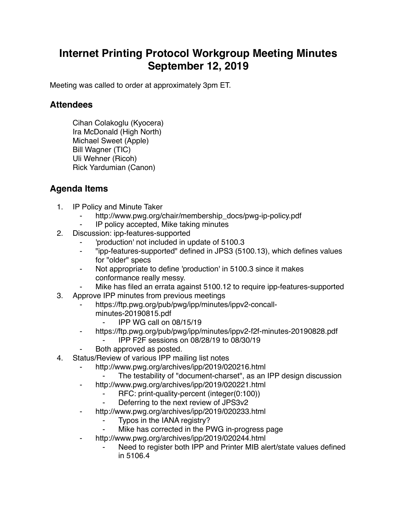## **Internet Printing Protocol Workgroup Meeting Minutes September 12, 2019**

Meeting was called to order at approximately 3pm ET.

## **Attendees**

Cihan Colakoglu (Kyocera) Ira McDonald (High North) Michael Sweet (Apple) Bill Wagner (TIC) Uli Wehner (Ricoh) Rick Yardumian (Canon)

## **Agenda Items**

- 1. IP Policy and Minute Taker
	- http://www.pwg.org/chair/membership\_docs/pwg-ip-policy.pdf
	- IP policy accepted, Mike taking minutes
- 2. Discussion: ipp-features-supported
	- ⁃ 'production' not included in update of 5100.3
	- ⁃ "ipp-features-supported" defined in JPS3 (5100.13), which defines values for "older" specs
	- Not appropriate to define 'production' in 5100.3 since it makes conformance really messy.
	- Mike has filed an errata against 5100.12 to require ipp-features-supported
- 3. Approve IPP minutes from previous meetings
	- https://ftp.pwg.org/pub/pwg/ipp/minutes/ippv2-concallminutes-20190815.pdf
		- ⁃ IPP WG call on 08/15/19
	- ⁃ https://ftp.pwg.org/pub/pwg/ipp/minutes/ippv2-f2f-minutes-20190828.pdf
		- ⁃ IPP F2F sessions on 08/28/19 to 08/30/19
	- Both approved as posted.
- 4. Status/Review of various IPP mailing list notes
	- ⁃ http://www.pwg.org/archives/ipp/2019/020216.html
		- The testability of "document-charset", as an IPP design discussion
	- ⁃ http://www.pwg.org/archives/ipp/2019/020221.html
		- RFC: print-quality-percent (integer(0:100))
		- Deferring to the next review of JPS3v2
	- http://www.pwg.org/archives/ipp/2019/020233.html
		- Typos in the IANA registry?
		- Mike has corrected in the PWG in-progress page
		- http://www.pwg.org/archives/ipp/2019/020244.html
			- Need to register both IPP and Printer MIB alert/state values defined in 5106.4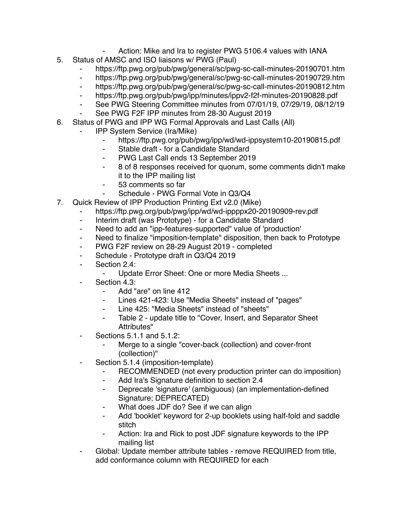- Action: Mike and Ira to register PWG 5106.4 values with IANA
- 5. Status of AMSC and ISO liaisons w/ PWG (Paul)
	- https://ftp.pwg.org/pub/pwg/general/sc/pwg-sc-call-minutes-20190701.htm
	- ⁃ https://ftp.pwg.org/pub/pwg/general/sc/pwg-sc-call-minutes-20190729.htm
	- ⁃ https://ftp.pwg.org/pub/pwg/general/sc/pwg-sc-call-minutes-20190812.htm
	- ⁃ https://ftp.pwg.org/pub/pwg/ipp/minutes/ippv2-f2f-minutes-20190828.pdf
	- See PWG Steering Committee minutes from 07/01/19, 07/29/19, 08/12/19
	- See PWG F2F IPP minutes from 28-30 August 2019
- 6. Status of PWG and IPP WG Formal Approvals and Last Calls (All)
	- ⁃ IPP System Service (Ira/Mike)
		- ⁃ https://ftp.pwg.org/pub/pwg/ipp/wd/wd-ippsystem10-20190815.pdf
		- ⁃ Stable draft for a Candidate Standard
		- PWG Last Call ends 13 September 2019
		- ⁃ 8 of 8 responses received for quorum, some comments didn't make it to the IPP mailing list
		- ⁃ 53 comments so far
			- Schedule PWG Formal Vote in Q3/Q4
- 7. Quick Review of IPP Production Printing Ext v2.0 (Mike)
	- https://ftp.pwg.org/pub/pwg/ipp/wd/wd-ippppx20-20190909-rev.pdf
		- ⁃ Interim draft (was Prototype) for a Candidate Standard
		- ⁃ Need to add an "ipp-features-supported" value of 'production'
		- ⁃ Need to finalize "imposition-template" disposition, then back to Prototype
		- PWG F2F review on 28-29 August 2019 completed
		- ⁃ Schedule Prototype draft in Q3/Q4 2019
		- ⁃ Section 2.4:
			- Update Error Sheet: One or more Media Sheets ...
		- Section 4.3:
			- ⁃ Add "are" on line 412
			- Lines 421-423: Use "Media Sheets" instead of "pages"
			- Line 425: "Media Sheets" instead of "sheets"
			- ⁃ Table 2 update title to "Cover, Insert, and Separator Sheet Attributes"
		- Sections 5.1.1 and 5.1.2:
			- Merge to a single "cover-back (collection) and cover-front (collection)"
		- Section 5.1.4 (imposition-template)
			- ⁃ RECOMMENDED (not every production printer can do imposition)
			- Add Ira's Signature definition to section 2.4
			- Deprecate 'signature' (ambiguous) (an implementation-defined Signature; DEPRECATED)
			- What does JDF do? See if we can align
			- ⁃ Add 'booklet' keyword for 2-up booklets using half-fold and saddle stitch
			- ⁃ Action: Ira and Rick to post JDF signature keywords to the IPP mailing list
		- Global: Update member attribute tables remove REQUIRED from title, add conformance column with REQUIRED for each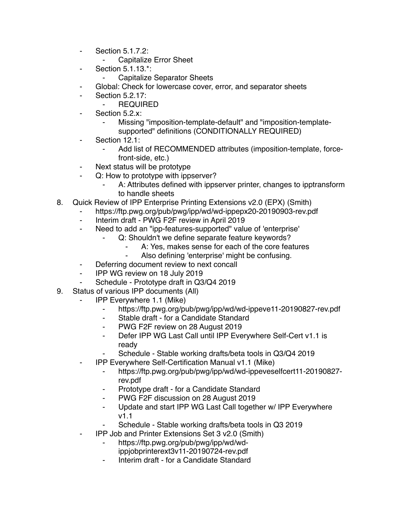- ⁃ Section 5.1.7.2:
	- ⁃ Capitalize Error Sheet
- Section 5.1.13.\*:
	- **Capitalize Separator Sheets**
- ⁃ Global: Check for lowercase cover, error, and separator sheets
- **Section 5.2.17:** 
	- ⁃ REQUIRED
- Section 5.2.x:
	- Missing "imposition-template-default" and "imposition-templatesupported" definitions (CONDITIONALLY REQUIRED)
- Section 12.1:
	- Add list of RECOMMENDED attributes (imposition-template, forcefront-side, etc.)
- Next status will be prototype
- ⁃ Q: How to prototype with ippserver?
	- A: Attributes defined with ippserver printer, changes to ipptransform to handle sheets
- 8. Quick Review of IPP Enterprise Printing Extensions v2.0 (EPX) (Smith)
	- https://ftp.pwg.org/pub/pwg/ipp/wd/wd-ippepx20-20190903-rev.pdf
		- ⁃ Interim draft PWG F2F review in April 2019
		- ⁃ Need to add an "ipp-features-supported" value of 'enterprise'
			- Q: Shouldn't we define separate feature keywords?
				- A: Yes, makes sense for each of the core features
				- Also defining 'enterprise' might be confusing.
		- ⁃ Deferring document review to next concall
		- ⁃ IPP WG review on 18 July 2019
		- Schedule Prototype draft in Q3/Q4 2019
- 9. Status of various IPP documents (All)
	- **IPP Everywhere 1.1 (Mike)** 
		- ⁃ https://ftp.pwg.org/pub/pwg/ipp/wd/wd-ippeve11-20190827-rev.pdf
		- ⁃ Stable draft for a Candidate Standard
		- ⁃ PWG F2F review on 28 August 2019
		- ⁃ Defer IPP WG Last Call until IPP Everywhere Self-Cert v1.1 is ready
			- Schedule Stable working drafts/beta tools in Q3/Q4 2019
		- ⁃ IPP Everywhere Self-Certification Manual v1.1 (Mike)
			- ⁃ https://ftp.pwg.org/pub/pwg/ipp/wd/wd-ippeveselfcert11-20190827 rev.pdf
			- Prototype draft for a Candidate Standard
			- ⁃ PWG F2F discussion on 28 August 2019
			- ⁃ Update and start IPP WG Last Call together w/ IPP Everywhere v1.1
			- Schedule Stable working drafts/beta tools in Q3 2019
	- ⁃ IPP Job and Printer Extensions Set 3 v2.0 (Smith)
		- ⁃ https://ftp.pwg.org/pub/pwg/ipp/wd/wdippjobprinterext3v11-20190724-rev.pdf
		- Interim draft for a Candidate Standard